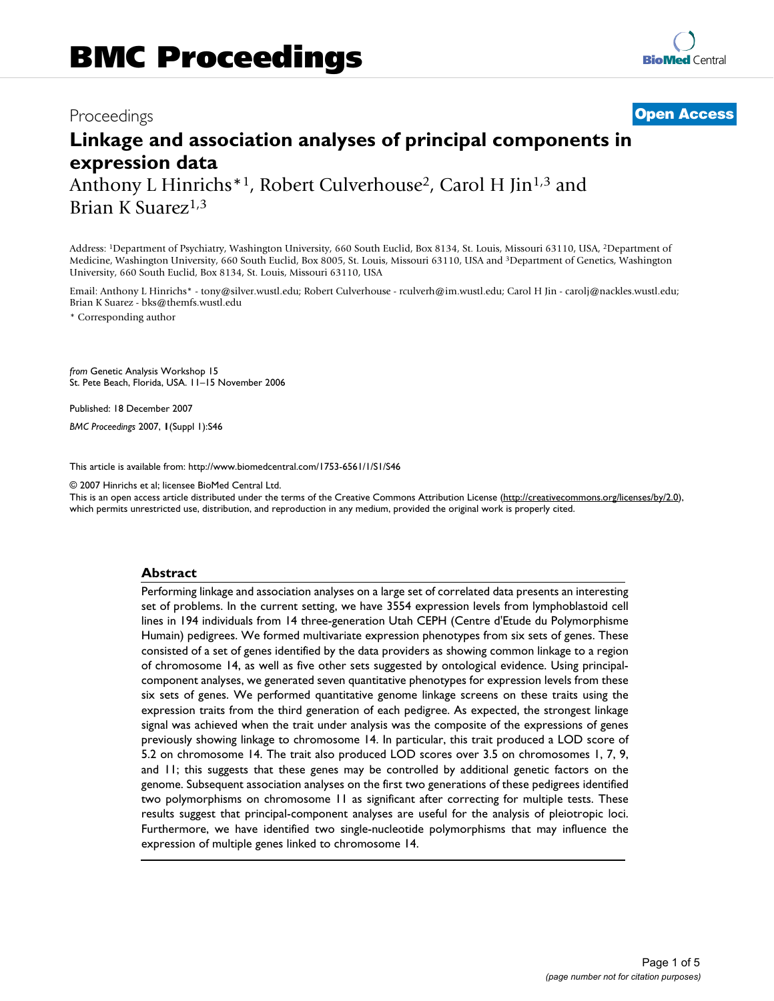## Proceedings **[Open Access](http://www.biomedcentral.com/info/about/charter/)**

# **Linkage and association analyses of principal components in expression data** Anthony L Hinrichs<sup>\*1</sup>, Robert Culverhouse<sup>2</sup>, Carol H Jin<sup>1,3</sup> and

Brian K Suarez<sup>1,3</sup>

Address: 1Department of Psychiatry, Washington University, 660 South Euclid, Box 8134, St. Louis, Missouri 63110, USA, 2Department of Medicine, Washington University, 660 South Euclid, Box 8005, St. Louis, Missouri 63110, USA and 3Department of Genetics, Washington University, 660 South Euclid, Box 8134, St. Louis, Missouri 63110, USA

Email: Anthony L Hinrichs\* - tony@silver.wustl.edu; Robert Culverhouse - rculverh@im.wustl.edu; Carol H Jin - carolj@nackles.wustl.edu; Brian K Suarez - bks@themfs.wustl.edu

\* Corresponding author

*from* Genetic Analysis Workshop 15 St. Pete Beach, Florida, USA. 11–15 November 2006

Published: 18 December 2007

*BMC Proceedings* 2007, **1**(Suppl 1):S46

[This article is available from: http://www.biomedcentral.com/1753-6561/1/S1/S46](http://www.biomedcentral.com/1753-6561/1/S1/S46)

© 2007 Hinrichs et al; licensee BioMed Central Ltd.

This is an open access article distributed under the terms of the Creative Commons Attribution License [\(http://creativecommons.org/licenses/by/2.0\)](http://creativecommons.org/licenses/by/2.0), which permits unrestricted use, distribution, and reproduction in any medium, provided the original work is properly cited.

#### **Abstract**

Performing linkage and association analyses on a large set of correlated data presents an interesting set of problems. In the current setting, we have 3554 expression levels from lymphoblastoid cell lines in 194 individuals from 14 three-generation Utah CEPH (Centre d'Etude du Polymorphisme Humain) pedigrees. We formed multivariate expression phenotypes from six sets of genes. These consisted of a set of genes identified by the data providers as showing common linkage to a region of chromosome 14, as well as five other sets suggested by ontological evidence. Using principalcomponent analyses, we generated seven quantitative phenotypes for expression levels from these six sets of genes. We performed quantitative genome linkage screens on these traits using the expression traits from the third generation of each pedigree. As expected, the strongest linkage signal was achieved when the trait under analysis was the composite of the expressions of genes previously showing linkage to chromosome 14. In particular, this trait produced a LOD score of 5.2 on chromosome 14. The trait also produced LOD scores over 3.5 on chromosomes 1, 7, 9, and 11; this suggests that these genes may be controlled by additional genetic factors on the genome. Subsequent association analyses on the first two generations of these pedigrees identified two polymorphisms on chromosome 11 as significant after correcting for multiple tests. These results suggest that principal-component analyses are useful for the analysis of pleiotropic loci. Furthermore, we have identified two single-nucleotide polymorphisms that may influence the expression of multiple genes linked to chromosome 14.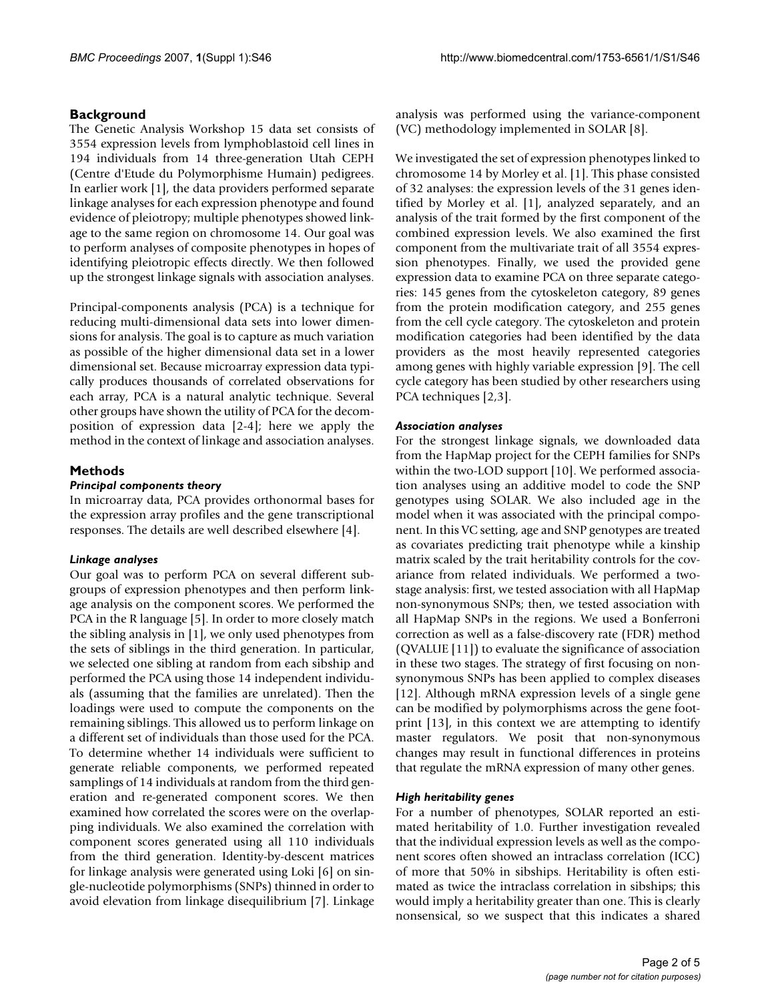### **Background**

The Genetic Analysis Workshop 15 data set consists of 3554 expression levels from lymphoblastoid cell lines in 194 individuals from 14 three-generation Utah CEPH (Centre d'Etude du Polymorphisme Humain) pedigrees. In earlier work [1], the data providers performed separate linkage analyses for each expression phenotype and found evidence of pleiotropy; multiple phenotypes showed linkage to the same region on chromosome 14. Our goal was to perform analyses of composite phenotypes in hopes of identifying pleiotropic effects directly. We then followed up the strongest linkage signals with association analyses.

Principal-components analysis (PCA) is a technique for reducing multi-dimensional data sets into lower dimensions for analysis. The goal is to capture as much variation as possible of the higher dimensional data set in a lower dimensional set. Because microarray expression data typically produces thousands of correlated observations for each array, PCA is a natural analytic technique. Several other groups have shown the utility of PCA for the decomposition of expression data [2-4]; here we apply the method in the context of linkage and association analyses.

### **Methods**

#### *Principal components theory*

In microarray data, PCA provides orthonormal bases for the expression array profiles and the gene transcriptional responses. The details are well described elsewhere [4].

#### *Linkage analyses*

Our goal was to perform PCA on several different subgroups of expression phenotypes and then perform linkage analysis on the component scores. We performed the PCA in the R language [5]. In order to more closely match the sibling analysis in [1], we only used phenotypes from the sets of siblings in the third generation. In particular, we selected one sibling at random from each sibship and performed the PCA using those 14 independent individuals (assuming that the families are unrelated). Then the loadings were used to compute the components on the remaining siblings. This allowed us to perform linkage on a different set of individuals than those used for the PCA. To determine whether 14 individuals were sufficient to generate reliable components, we performed repeated samplings of 14 individuals at random from the third generation and re-generated component scores. We then examined how correlated the scores were on the overlapping individuals. We also examined the correlation with component scores generated using all 110 individuals from the third generation. Identity-by-descent matrices for linkage analysis were generated using Loki [6] on single-nucleotide polymorphisms (SNPs) thinned in order to avoid elevation from linkage disequilibrium [7]. Linkage analysis was performed using the variance-component (VC) methodology implemented in SOLAR [8].

We investigated the set of expression phenotypes linked to chromosome 14 by Morley et al. [1]. This phase consisted of 32 analyses: the expression levels of the 31 genes identified by Morley et al. [1], analyzed separately, and an analysis of the trait formed by the first component of the combined expression levels. We also examined the first component from the multivariate trait of all 3554 expression phenotypes. Finally, we used the provided gene expression data to examine PCA on three separate categories: 145 genes from the cytoskeleton category, 89 genes from the protein modification category, and 255 genes from the cell cycle category. The cytoskeleton and protein modification categories had been identified by the data providers as the most heavily represented categories among genes with highly variable expression [9]. The cell cycle category has been studied by other researchers using PCA techniques [2,3].

#### *Association analyses*

For the strongest linkage signals, we downloaded data from the HapMap project for the CEPH families for SNPs within the two-LOD support [10]. We performed association analyses using an additive model to code the SNP genotypes using SOLAR. We also included age in the model when it was associated with the principal component. In this VC setting, age and SNP genotypes are treated as covariates predicting trait phenotype while a kinship matrix scaled by the trait heritability controls for the covariance from related individuals. We performed a twostage analysis: first, we tested association with all HapMap non-synonymous SNPs; then, we tested association with all HapMap SNPs in the regions. We used a Bonferroni correction as well as a false-discovery rate (FDR) method (QVALUE [11]) to evaluate the significance of association in these two stages. The strategy of first focusing on nonsynonymous SNPs has been applied to complex diseases [12]. Although mRNA expression levels of a single gene can be modified by polymorphisms across the gene footprint [13], in this context we are attempting to identify master regulators. We posit that non-synonymous changes may result in functional differences in proteins that regulate the mRNA expression of many other genes.

#### *High heritability genes*

For a number of phenotypes, SOLAR reported an estimated heritability of 1.0. Further investigation revealed that the individual expression levels as well as the component scores often showed an intraclass correlation (ICC) of more that 50% in sibships. Heritability is often estimated as twice the intraclass correlation in sibships; this would imply a heritability greater than one. This is clearly nonsensical, so we suspect that this indicates a shared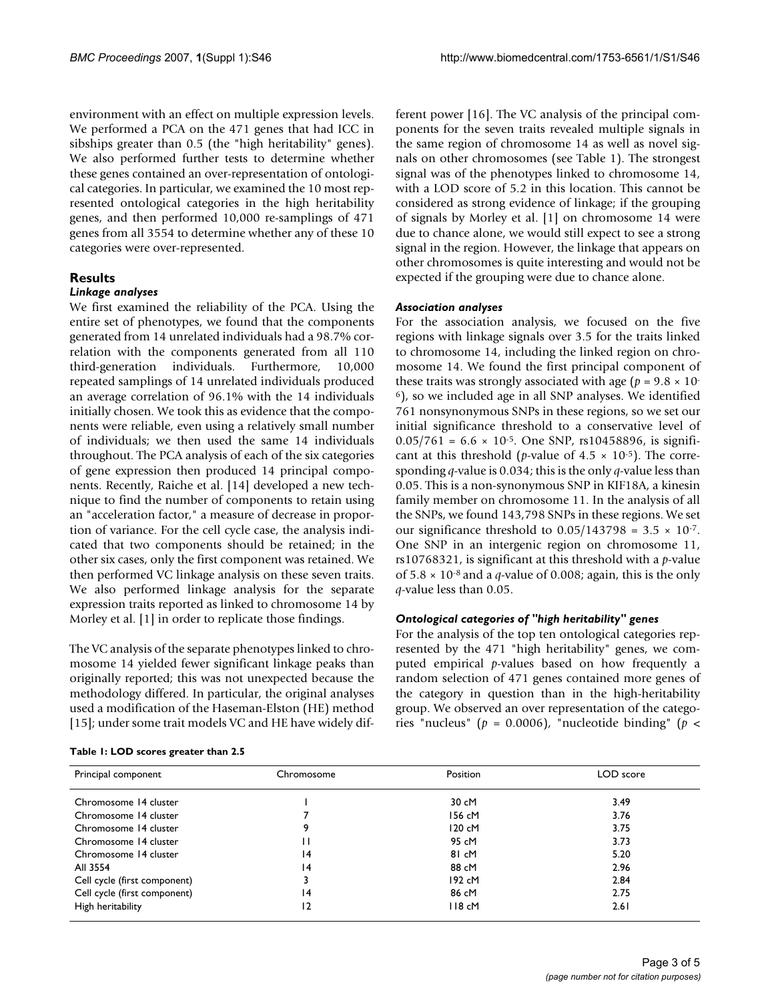environment with an effect on multiple expression levels. We performed a PCA on the 471 genes that had ICC in sibships greater than 0.5 (the "high heritability" genes). We also performed further tests to determine whether these genes contained an over-representation of ontological categories. In particular, we examined the 10 most represented ontological categories in the high heritability genes, and then performed 10,000 re-samplings of 471 genes from all 3554 to determine whether any of these 10 categories were over-represented.

#### **Results**

#### *Linkage analyses*

We first examined the reliability of the PCA. Using the entire set of phenotypes, we found that the components generated from 14 unrelated individuals had a 98.7% correlation with the components generated from all 110 third-generation individuals. Furthermore, 10,000 repeated samplings of 14 unrelated individuals produced an average correlation of 96.1% with the 14 individuals initially chosen. We took this as evidence that the components were reliable, even using a relatively small number of individuals; we then used the same 14 individuals throughout. The PCA analysis of each of the six categories of gene expression then produced 14 principal components. Recently, Raiche et al. [14] developed a new technique to find the number of components to retain using an "acceleration factor," a measure of decrease in proportion of variance. For the cell cycle case, the analysis indicated that two components should be retained; in the other six cases, only the first component was retained. We then performed VC linkage analysis on these seven traits. We also performed linkage analysis for the separate expression traits reported as linked to chromosome 14 by Morley et al. [1] in order to replicate those findings.

The VC analysis of the separate phenotypes linked to chromosome 14 yielded fewer significant linkage peaks than originally reported; this was not unexpected because the methodology differed. In particular, the original analyses used a modification of the Haseman-Elston (HE) method [15]; under some trait models VC and HE have widely different power [16]. The VC analysis of the principal components for the seven traits revealed multiple signals in the same region of chromosome 14 as well as novel signals on other chromosomes (see Table 1). The strongest signal was of the phenotypes linked to chromosome 14, with a LOD score of 5.2 in this location. This cannot be considered as strong evidence of linkage; if the grouping of signals by Morley et al. [1] on chromosome 14 were due to chance alone, we would still expect to see a strong signal in the region. However, the linkage that appears on other chromosomes is quite interesting and would not be expected if the grouping were due to chance alone.

#### *Association analyses*

For the association analysis, we focused on the five regions with linkage signals over 3.5 for the traits linked to chromosome 14, including the linked region on chromosome 14. We found the first principal component of these traits was strongly associated with age ( $p = 9.8 \times 10^{-7}$ 6), so we included age in all SNP analyses. We identified 761 nonsynonymous SNPs in these regions, so we set our initial significance threshold to a conservative level of  $0.05/761 = 6.6 \times 10^{-5}$ . One SNP, rs10458896, is significant at this threshold (*p*-value of  $4.5 \times 10^{-5}$ ). The corresponding *q*-value is 0.034; this is the only *q*-value less than 0.05. This is a non-synonymous SNP in KIF18A, a kinesin family member on chromosome 11. In the analysis of all the SNPs, we found 143,798 SNPs in these regions. We set our significance threshold to  $0.05/143798 = 3.5 \times 10^{-7}$ . One SNP in an intergenic region on chromosome 11, rs10768321, is significant at this threshold with a *p*-value of  $5.8 \times 10^{-8}$  and a *q*-value of 0.008; again, this is the only *q*-value less than 0.05.

#### *Ontological categories of "high heritability" genes*

For the analysis of the top ten ontological categories represented by the 471 "high heritability" genes, we computed empirical *p*-values based on how frequently a random selection of 471 genes contained more genes of the category in question than in the high-heritability group. We observed an over representation of the categories "nucleus" (*p* = 0.0006), "nucleotide binding" (*p* <

| Table 1: LOD scores greater than 2.5 |  |
|--------------------------------------|--|
|--------------------------------------|--|

| Principal component          | Chromosome      | Position | LOD score |
|------------------------------|-----------------|----------|-----------|
| Chromosome 14 cluster        |                 | 30 cM    | 3.49      |
| Chromosome 14 cluster        |                 | 156 cM   | 3.76      |
| Chromosome 14 cluster        | 9               | 120 cM   | 3.75      |
| Chromosome 14 cluster        |                 | 95 cM    | 3.73      |
| Chromosome 14 cluster        | 4               | 81 cM    | 5.20      |
| All 3554                     | 14              | 88 cM    | 2.96      |
| Cell cycle (first component) |                 | 192 cM   | 2.84      |
| Cell cycle (first component) | $\overline{14}$ | 86 cM    | 2.75      |
| High heritability            | 12              | 118 cM   | 2.61      |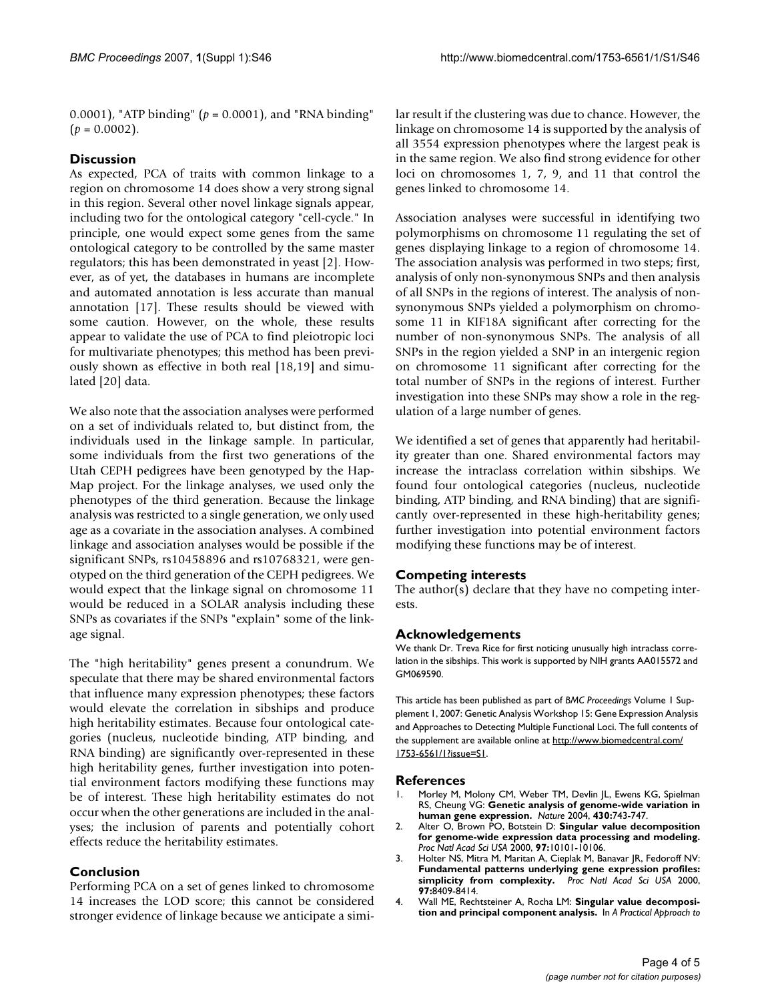0.0001), "ATP binding" (*p* = 0.0001), and "RNA binding"  $(p = 0.0002)$ .

#### **Discussion**

As expected, PCA of traits with common linkage to a region on chromosome 14 does show a very strong signal in this region. Several other novel linkage signals appear, including two for the ontological category "cell-cycle." In principle, one would expect some genes from the same ontological category to be controlled by the same master regulators; this has been demonstrated in yeast [2]. However, as of yet, the databases in humans are incomplete and automated annotation is less accurate than manual annotation [17]. These results should be viewed with some caution. However, on the whole, these results appear to validate the use of PCA to find pleiotropic loci for multivariate phenotypes; this method has been previously shown as effective in both real [18,19] and simulated [20] data.

We also note that the association analyses were performed on a set of individuals related to, but distinct from, the individuals used in the linkage sample. In particular, some individuals from the first two generations of the Utah CEPH pedigrees have been genotyped by the Hap-Map project. For the linkage analyses, we used only the phenotypes of the third generation. Because the linkage analysis was restricted to a single generation, we only used age as a covariate in the association analyses. A combined linkage and association analyses would be possible if the significant SNPs, rs10458896 and rs10768321, were genotyped on the third generation of the CEPH pedigrees. We would expect that the linkage signal on chromosome 11 would be reduced in a SOLAR analysis including these SNPs as covariates if the SNPs "explain" some of the linkage signal.

The "high heritability" genes present a conundrum. We speculate that there may be shared environmental factors that influence many expression phenotypes; these factors would elevate the correlation in sibships and produce high heritability estimates. Because four ontological categories (nucleus, nucleotide binding, ATP binding, and RNA binding) are significantly over-represented in these high heritability genes, further investigation into potential environment factors modifying these functions may be of interest. These high heritability estimates do not occur when the other generations are included in the analyses; the inclusion of parents and potentially cohort effects reduce the heritability estimates.

#### **Conclusion**

Performing PCA on a set of genes linked to chromosome 14 increases the LOD score; this cannot be considered stronger evidence of linkage because we anticipate a similar result if the clustering was due to chance. However, the linkage on chromosome 14 is supported by the analysis of all 3554 expression phenotypes where the largest peak is in the same region. We also find strong evidence for other loci on chromosomes 1, 7, 9, and 11 that control the genes linked to chromosome 14.

Association analyses were successful in identifying two polymorphisms on chromosome 11 regulating the set of genes displaying linkage to a region of chromosome 14. The association analysis was performed in two steps; first, analysis of only non-synonymous SNPs and then analysis of all SNPs in the regions of interest. The analysis of nonsynonymous SNPs yielded a polymorphism on chromosome 11 in KIF18A significant after correcting for the number of non-synonymous SNPs. The analysis of all SNPs in the region yielded a SNP in an intergenic region on chromosome 11 significant after correcting for the total number of SNPs in the regions of interest. Further investigation into these SNPs may show a role in the regulation of a large number of genes.

We identified a set of genes that apparently had heritability greater than one. Shared environmental factors may increase the intraclass correlation within sibships. We found four ontological categories (nucleus, nucleotide binding, ATP binding, and RNA binding) that are significantly over-represented in these high-heritability genes; further investigation into potential environment factors modifying these functions may be of interest.

#### **Competing interests**

The author(s) declare that they have no competing interests.

#### **Acknowledgements**

We thank Dr. Treva Rice for first noticing unusually high intraclass correlation in the sibships. This work is supported by NIH grants AA015572 and GM069590.

This article has been published as part of *BMC Proceedings* Volume 1 Supplement 1, 2007: Genetic Analysis Workshop 15: Gene Expression Analysis and Approaches to Detecting Multiple Functional Loci. The full contents of the supplement are available online at [http://www.biomedcentral.com/](http://www.biomedcentral.com/1753-6561/1?issue=S1) [1753-6561/1?issue=S1.](http://www.biomedcentral.com/1753-6561/1?issue=S1)

#### **References**

- 1. Morley M, Molony CM, Weber TM, Devlin JL, Ewens KG, Spielman RS, Cheung VG: **[Genetic analysis of genome-wide variation in](http://www.ncbi.nlm.nih.gov/entrez/query.fcgi?cmd=Retrieve&db=PubMed&dopt=Abstract&list_uids=15269782) [human gene expression.](http://www.ncbi.nlm.nih.gov/entrez/query.fcgi?cmd=Retrieve&db=PubMed&dopt=Abstract&list_uids=15269782)** *Nature* 2004, **430:**743-747.
- 2. Alter O, Brown PO, Botstein D: **[Singular value decomposition](http://www.ncbi.nlm.nih.gov/entrez/query.fcgi?cmd=Retrieve&db=PubMed&dopt=Abstract&list_uids=10963673) [for genome-wide expression data processing and modeling.](http://www.ncbi.nlm.nih.gov/entrez/query.fcgi?cmd=Retrieve&db=PubMed&dopt=Abstract&list_uids=10963673)** *Proc Natl Acad Sci USA* 2000, **97:**10101-10106.
- 3. Holter NS, Mitra M, Maritan A, Cieplak M, Banavar JR, Fedoroff NV: **[Fundamental patterns underlying gene expression profiles:](http://www.ncbi.nlm.nih.gov/entrez/query.fcgi?cmd=Retrieve&db=PubMed&dopt=Abstract&list_uids=10890920) [simplicity from complexity.](http://www.ncbi.nlm.nih.gov/entrez/query.fcgi?cmd=Retrieve&db=PubMed&dopt=Abstract&list_uids=10890920)** *Proc Natl Acad Sci USA* 2000, **97:**8409-8414.
- 4. Wall ME, Rechtsteiner A, Rocha LM: **Singular value decomposition and principal component analysis.** In *A Practical Approach to*